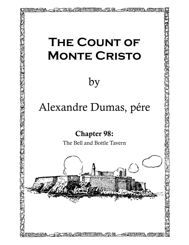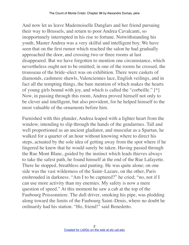And now let us leave Mademoiselle Danglars and her friend pursuing their way to Brussels, and return to poor Andrea Cavalcanti, so inopportunely interrupted in his rise to fortune. Notwithstanding his youth, Master Andrea was a very skilful and intelligent boy. We have seen that on the first rumor which reached the salon he had gradually approached the door, and crossing two or three rooms at last disappeared. But we have forgotten to mention one circumstance, which nevertheless ought not to be omitted; in one of the rooms he crossed, the trousseau of the bride–elect was on exhibition. There were caskets of diamonds, cashmere shawls, Valenciennes lace, English veilings, and in fact all the tempting things, the bare mention of which makes the hearts of young girls bound with joy, and which is called the "corbeille." [\*] Now, in passing through this room, Andrea proved himself not only to be clever and intelligent, but also provident, for he helped himself to the most valuable of the ornaments before him.

Furnished with this plunder, Andrea leaped with a lighter heart from the window, intending to slip through the hands of the gendarmes. Tall and well proportioned as an ancient gladiator, and muscular as a Spartan, he walked for a quarter of an hour without knowing where to direct his steps, actuated by the sole idea of getting away from the spot where if he lingered he knew that he would surely be taken. Having passed through the Rue Mont Blanc, guided by the instinct which leads thieves always to take the safest path, he found himself at the end of the Rue Lafayette. There he stopped, breathless and panting. He was quite alone; on one side was the vast wilderness of the Saint–Lazare, on the other, Paris enshrouded in darkness. "Am I to be captured?" he cried; "no, not if I can use more activity than my enemies. My safety is now a mere question of speed." At this moment he saw a cab at the top of the Faubourg Poissonniere. The dull driver, smoking his pipe, was plodding along toward the limits of the Faubourg Saint–Denis, where no doubt he ordinarily had his station. "Ho, friend!" said Benedetto.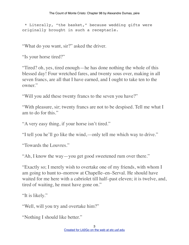\* Literally, "the basket," because wedding gifts were originally brought in such a receptacle.

"What do you want, sir?" asked the driver.

"Is your horse tired?"

"Tired? oh, yes, tired enough—he has done nothing the whole of this blessed day! Four wretched fares, and twenty sous over, making in all seven francs, are all that I have earned, and I ought to take ten to the owner."

"Will you add these twenty francs to the seven you have?"

"With pleasure, sir; twenty francs are not to be despised. Tell me what I am to do for this."

"A very easy thing, if your horse isn't tired."

"I tell you he'll go like the wind,—only tell me which way to drive."

"Towards the Louvres."

"Ah, I know the way—you get good sweetened rum over there."

"Exactly so; I merely wish to overtake one of my friends, with whom I am going to hunt to–morrow at Chapelle–en–Serval. He should have waited for me here with a cabriolet till half–past eleven; it is twelve, and, tired of waiting, he must have gone on."

"It is likely."

"Well, will you try and overtake him?"

"Nothing I should like better."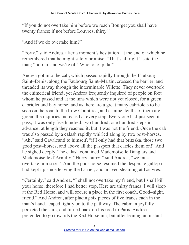"If you do not overtake him before we reach Bourget you shall have twenty francs; if not before Louvres, thirty."

"And if we do overtake him?"

"Forty," said Andrea, after a moment's hesitation, at the end of which he remembered that he might safely promise. "That's all right," said the man; "hop in, and we're off! Who–o–o–p, la!"

Andrea got into the cab, which passed rapidly through the Faubourg Saint–Denis, along the Faubourg Saint–Martin, crossed the barrier, and threaded its way through the interminable Villette. They never overtook the chimerical friend, yet Andrea frequently inquired of people on foot whom he passed and at the inns which were not yet closed, for a green cabriolet and bay horse; and as there are a great many cabriolets to be seen on the road to the Low Countries, and as nine–tenths of them are green, the inquiries increased at every step. Every one had just seen it pass; it was only five hundred, two hundred, one hundred steps in advance; at length they reached it, but it was not the friend. Once the cab was also passed by a calash rapidly whirled along by two post–horses. "Ah," said Cavalcanti to himself, "if I only had that britzska, those two good post–horses, and above all the passport that carries them on!" And he sighed deeply. The calash contained Mademoiselle Danglars and Mademoiselle d'Armilly. "Hurry, hurry!" said Andrea, "we must overtake him soon." And the poor horse resumed the desperate gallop it had kept up since leaving the barrier, and arrived steaming at Louvres.

"Certainly," said Andrea, "I shall not overtake my friend, but I shall kill your horse, therefore I had better stop. Here are thirty francs; I will sleep at the Red Horse, and will secure a place in the first coach. Good–night, friend." And Andrea, after placing six pieces of five francs each in the man's hand, leaped lightly on to the pathway. The cabman joyfully pocketed the sum, and turned back on his road to Paris. Andrea pretended to go towards the Red Horse inn, but after leaning an instant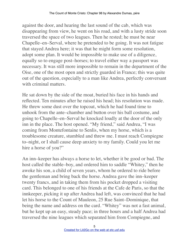against the door, and hearing the last sound of the cab, which was disappearing from view, he went on his road, and with a lusty stride soon traversed the space of two leagues. Then he rested; he must be near Chapelle–en–Serval, where he pretended to be going. It was not fatigue that stayed Andrea here; it was that he might form some resolution, adopt some plan. It would be impossible to make use of a diligence, equally so to engage post–horses; to travel either way a passport was necessary. It was still more impossible to remain in the department of the Oise, one of the most open and strictly guarded in France; this was quite out of the question, especially to a man like Andrea, perfectly conversant with criminal matters.

He sat down by the side of the moat, buried his face in his hands and reflected. Ten minutes after he raised his head; his resolution was made. He threw some dust over the topcoat, which he had found time to unhook from the ante–chamber and button over his ball costume, and going to Chapelle–en–Serval he knocked loudly at the door of the only inn in the place. The host opened. "My friend," said Andrea, "I was coming from Montefontaine to Senlis, when my horse, which is a troublesome creature, stumbled and threw me. I must reach Compiegne to–night, or I shall cause deep anxiety to my family. Could you let me hire a horse of you?"

An inn–keeper has always a horse to let, whether it be good or bad. The host called the stable–boy, and ordered him to saddle "Whitey," then he awoke his son, a child of seven years, whom he ordered to ride before the gentleman and bring back the horse. Andrea gave the inn–keeper twenty francs, and in taking them from his pocket dropped a visiting card. This belonged to one of his friends at the Cafe de Paris, so that the innkeeper, picking it up after Andrea had left, was convinced that he had let his horse to the Count of Mauleon, 25 Rue Saint–Dominique, that being the name and address on the card. "Whitey" was not a fast animal, but he kept up an easy, steady pace; in three hours and a half Andrea had traversed the nine leagues which separated him from Compiegne, and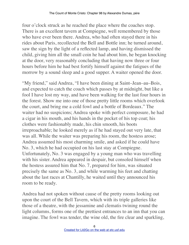four o'clock struck as he reached the place where the coaches stop. There is an excellent tavern at Compiegne, well remembered by those who have ever been there. Andrea, who had often stayed there in his rides about Paris, recollected the Bell and Bottle inn; he turned around, saw the sign by the light of a reflected lamp, and having dismissed the child, giving him all the small coin he had about him, he began knocking at the door, very reasonably concluding that having now three or four hours before him he had best fortify himself against the fatigues of the morrow by a sound sleep and a good supper. A waiter opened the door.

"My friend," said Andrea, "I have been dining at Saint–Jean–au–Bois, and expected to catch the coach which passes by at midnight, but like a fool I have lost my way, and have been walking for the last four hours in the forest. Show me into one of those pretty little rooms which overlook the court, and bring me a cold fowl and a bottle of Bordeaux." The waiter had no suspicions; Andrea spoke with perfect composure, he had a cigar in his mouth, and his hands in the pocket of his top coat; his clothes were fashionably made, his chin smooth, his boots irreproachable; he looked merely as if he had stayed out very late, that was all. While the waiter was preparing his room, the hostess arose; Andrea assumed his most charming smile, and asked if he could have No. 3, which he had occupied on his last stay at Compiegne. Unfortunately, No. 3 was engaged by a young man who was travelling with his sister. Andrea appeared in despair, but consoled himself when the hostess assured him that No. 7, prepared for him, was situated precisely the same as No. 3, and while warming his feet and chatting about the last races at Chantilly, he waited until they announced his room to be ready.

Andrea had not spoken without cause of the pretty rooms looking out upon the court of the Bell Tavern, which with its triple galleries like those of a theatre, with the jessamine and clematis twining round the light columns, forms one of the prettiest entrances to an inn that you can imagine. The fowl was tender, the wine old, the fire clear and sparkling,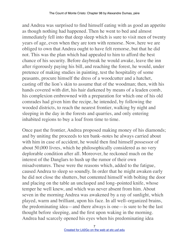and Andrea was surprised to find himself eating with as good an appetite as though nothing had happened. Then he went to bed and almost immediately fell into that deep sleep which is sure to visit men of twenty years of age, even when they are torn with remorse. Now, here we are obliged to own that Andrea ought to have felt remorse, but that he did not. This was the plan which had appealed to him to afford the best chance of his security. Before daybreak he would awake, leave the inn after rigorously paying his bill, and reaching the forest, he would, under pretence of making studies in painting, test the hospitality of some peasants, procure himself the dress of a woodcutter and a hatchet, casting off the lion's skin to assume that of the woodman; then, with his hands covered with dirt, his hair darkened by means of a leaden comb, his complexion embrowned with a preparation for which one of his old comrades had given him the recipe, he intended, by following the wooded districts, to reach the nearest frontier, walking by night and sleeping in the day in the forests and quarries, and only entering inhabited regions to buy a loaf from time to time.

Once past the frontier, Andrea proposed making money of his diamonds; and by uniting the proceeds to ten bank–notes he always carried about with him in case of accident, he would then find himself possessor of about 50,000 livres, which he philosophically considered as no very deplorable condition after all. Moreover, he reckoned much on the interest of the Danglars to hush up the rumor of their own misadventures. These were the reasons which, added to the fatigue, caused Andrea to sleep so soundly. In order that he might awaken early he did not close the shutters, but contented himself with bolting the door and placing on the table an unclasped and long–pointed knife, whose temper he well knew, and which was never absent from him. About seven in the morning Andrea was awakened by a ray of sunlight, which played, warm and brilliant, upon his face. In all well–organized brains, the predominating idea—and there always is one—is sure to be the last thought before sleeping, and the first upon waking in the morning. Andrea had scarcely opened his eyes when his predominating idea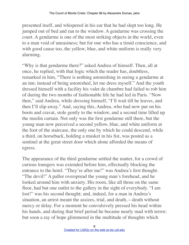presented itself, and whispered in his ear that he had slept too long. He jumped out of bed and ran to the window. A gendarme was crossing the court. A gendarme is one of the most striking objects in the world, even to a man void of uneasiness; but for one who has a timid conscience, and with good cause too, the yellow, blue, and white uniform is really very alarming.

"Why is that gendarme there?" asked Andrea of himself. Then, all at once, he replied, with that logic which the reader has, doubtless, remarked in him, "There is nothing astonishing in seeing a gendarme at an inn; instead of being astonished, let me dress myself." And the youth dressed himself with a facility his valet de chambre had failed to rob him of during the two months of fashionable life he had led in Paris. "Now then," said Andrea, while dressing himself, "I'll wait till he leaves, and then I'll slip away." And, saying this, Andrea, who had now put on his boots and cravat, stole gently to the window, and a second time lifted up the muslin curtain. Not only was the first gendarme still there, but the young man now perceived a second yellow, blue, and white uniform at the foot of the staircase, the only one by which he could descend, while a third, on horseback, holding a musket in his fist, was posted as a sentinel at the great street door which alone afforded the means of egress.

The appearance of the third gendarme settled the matter, for a crowd of curious loungers was extended before him, effectually blocking the entrance to the hotel. "They're after me!" was Andrea's first thought. "The devil!" A pallor overspread the young man's forehead, and he looked around him with anxiety. His room, like all those on the same floor, had but one outlet to the gallery in the sight of everybody. "I am lost!" was his second thought; and, indeed, for a man in Andrea's situation, an arrest meant the assizes, trial, and death,—death without mercy or delay. For a moment he convulsively pressed his head within his hands, and during that brief period he became nearly mad with terror; but soon a ray of hope glimmered in the multitude of thoughts which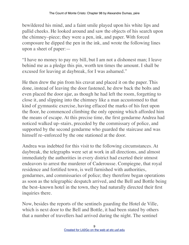bewildered his mind, and a faint smile played upon his white lips and pallid cheeks. He looked around and saw the objects of his search upon the chimney–piece; they were a pen, ink, and paper. With forced composure he dipped the pen in the ink, and wrote the following lines upon a sheet of paper:—

"I have no money to pay my bill, but I am not a dishonest man; I leave behind me as a pledge this pin, worth ten times the amount. I shall be excused for leaving at daybreak, for I was ashamed."

He then drew the pin from his cravat and placed it on the paper. This done, instead of leaving the door fastened, he drew back the bolts and even placed the door ajar, as though he had left the room, forgetting to close it, and slipping into the chimney like a man accustomed to that kind of gymnastic exercise, having effaced the marks of his feet upon the floor, he commenced climbing the only opening which afforded him the means of escape. At this precise time, the first gendarme Andrea had noticed walked up–stairs, preceded by the commissary of police, and supported by the second gendarme who guarded the staircase and was himself re–enforced by the one stationed at the door.

Andrea was indebted for this visit to the following circumstances. At daybreak, the telegraphs were set at work in all directions, and almost immediately the authorities in every district had exerted their utmost endeavors to arrest the murderer of Caderousse. Compiegne, that royal residence and fortified town, is well furnished with authorities, gendarmes, and commissaries of police; they therefore began operations as soon as the telegraphic despatch arrived, and the Bell and Bottle being the best–known hotel in the town, they had naturally directed their first inquiries there.

Now, besides the reports of the sentinels guarding the Hotel de Ville, which is next door to the Bell and Bottle, it had been stated by others that a number of travellers had arrived during the night. The sentinel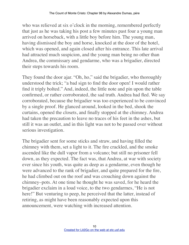who was relieved at six o'clock in the morning, remembered perfectly that just as he was taking his post a few minutes past four a young man arrived on horseback, with a little boy before him. The young man, having dismissed the boy and horse, knocked at the door of the hotel, which was opened, and again closed after his entrance. This late arrival had attracted much suspicion, and the young man being no other than Andrea, the commissary and gendarme, who was a brigadier, directed their steps towards his room.

They found the door ajar. "Oh, ho," said the brigadier, who thoroughly understood the trick; "a bad sign to find the door open! I would rather find it triply bolted." And, indeed, the little note and pin upon the table confirmed, or rather corroborated, the sad truth. Andrea had fled. We say corroborated, because the brigadier was too experienced to be convinced by a single proof. He glanced around, looked in the bed, shook the curtains, opened the closets, and finally stopped at the chimney. Andrea had taken the precaution to leave no traces of his feet in the ashes, but still it was an outlet, and in this light was not to be passed over without serious investigation.

The brigadier sent for some sticks and straw, and having filled the chimney with them, set a light to it. The fire crackled, and the smoke ascended like the dull vapor from a volcano; but still no prisoner fell down, as they expected. The fact was, that Andrea, at war with society ever since his youth, was quite as deep as a gendarme, even though he were advanced to the rank of brigadier, and quite prepared for the fire, he had climbed out on the roof and was crouching down against the chimney–pots. At one time he thought he was saved, for he heard the brigadier exclaim in a loud voice, to the two gendarmes, "He is not here!" But venturing to peep, he perceived that the latter, instead of retiring, as might have been reasonably expected upon this announcement, were watching with increased attention.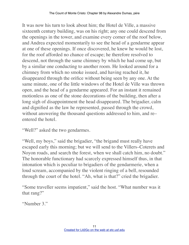It was now his turn to look about him; the Hotel de Ville, a massive sixteenth century building, was on his right; any one could descend from the openings in the tower, and examine every corner of the roof below, and Andrea expected momentarily to see the head of a gendarme appear at one of these openings. If once discovered, he knew he would be lost, for the roof afforded no chance of escape; he therefore resolved to descend, not through the same chimney by which he had come up, but by a similar one conducting to another room. He looked around for a chimney from which no smoke issued, and having reached it, he disappeared through the orifice without being seen by any one. At the same minute, one of the little windows of the Hotel de Ville was thrown open, and the head of a gendarme appeared. For an instant it remained motionless as one of the stone decorations of the building, then after a long sigh of disappointment the head disappeared. The brigadier, calm and dignified as the law he represented, passed through the crowd, without answering the thousand questions addressed to him, and re– entered the hotel.

"Well?" asked the two gendarmes.

"Well, my boys," said the brigadier, "the brigand must really have escaped early this morning; but we will send to the Villers–Coterets and Noyon roads, and search the forest, when we shall catch him, no doubt." The honorable functionary had scarcely expressed himself thus, in that intonation which is peculiar to brigadiers of the gendarmerie, when a loud scream, accompanied by the violent ringing of a bell, resounded through the court of the hotel. "Ah, what is that?" cried the brigadier.

"Some traveller seems impatient," said the host. "What number was it that rang?"

"Number 3."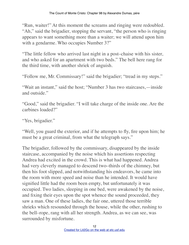"Run, waiter!" At this moment the screams and ringing were redoubled. "Ah," said the brigadier, stopping the servant, "the person who is ringing appears to want something more than a waiter; we will attend upon him with a gendarme. Who occupies Number 3?"

"The little fellow who arrived last night in a post–chaise with his sister, and who asked for an apartment with two beds." The bell here rang for the third time, with another shriek of anguish.

"Follow me, Mr. Commissary!" said the brigadier; "tread in my steps."

"Wait an instant," said the host; "Number 3 has two staircases,—inside and outside."

"Good," said the brigadier. "I will take charge of the inside one. Are the carbines loaded?"

"Yes, brigadier."

"Well, you guard the exterior, and if he attempts to fly, fire upon him; he must be a great criminal, from what the telegraph says."

The brigadier, followed by the commissary, disappeared by the inside staircase, accompanied by the noise which his assertions respecting Andrea had excited in the crowd. This is what had happened. Andrea had very cleverly managed to descend two–thirds of the chimney, but then his foot slipped, and notwithstanding his endeavors, he came into the room with more speed and noise than he intended. It would have signified little had the room been empty, but unfortunately it was occupied. Two ladies, sleeping in one bed, were awakened by the noise, and fixing their eyes upon the spot whence the sound proceeded, they saw a man. One of these ladies, the fair one, uttered those terrible shrieks which resounded through the house, while the other, rushing to the bell–rope, rang with all her strength. Andrea, as we can see, was surrounded by misfortune.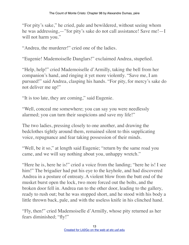"For pity's sake," he cried, pale and bewildered, without seeing whom he was addressing,—"for pity's sake do not call assistance! Save me!—I will not harm you."

"Andrea, the murderer!" cried one of the ladies.

"Eugenie! Mademoiselle Danglars!" exclaimed Andrea, stupefied.

"Help, help!" cried Mademoiselle d'Armilly, taking the bell from her companion's hand, and ringing it yet more violently. "Save me, I am pursued!" said Andrea, clasping his hands. "For pity, for mercy's sake do not deliver me up!"

"It is too late, they are coming," said Eugenie.

"Well, conceal me somewhere; you can say you were needlessly alarmed; you can turn their suspicions and save my life!"

The two ladies, pressing closely to one another, and drawing the bedclothes tightly around them, remained silent to this supplicating voice, repugnance and fear taking possession of their minds.

"Well, be it so," at length said Eugenie; "return by the same road you came, and we will say nothing about you, unhappy wretch."

"Here he is, here he is!" cried a voice from the landing; "here he is! I see him!" The brigadier had put his eye to the keyhole, and had discovered Andrea in a posture of entreaty. A violent blow from the butt end of the musket burst open the lock, two more forced out the bolts, and the broken door fell in. Andrea ran to the other door, leading to the gallery, ready to rush out; but he was stopped short, and he stood with his body a little thrown back, pale, and with the useless knife in his clinched hand.

"Fly, then!" cried Mademoiselle d'Armilly, whose pity returned as her fears diminished; "fly!"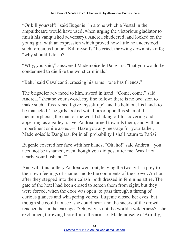"Or kill yourself!" said Eugenie (in a tone which a Vestal in the ampuitheatre would have used, when urging the victorious gladiator to finish his vanquished adversary). Andrea shuddered, and looked on the young girl with an expression which proved how little he understood such ferocious honor. "Kill myself?" he cried, throwing down his knife; "why should I do so?"

"Why, you said," answered Mademoiselle Danglars, "that you would be condemned to die like the worst criminals."

"Bah," said Cavalcanti, crossing his arms, "one has friends."

The brigadier advanced to him, sword in hand. "Come, come," said Andrea, "sheathe your sword, my fine fellow; there is no occasion to make such a fuss, since I give myself up;" and he held out his hands to be manacled. The girls looked with horror upon this shameful metamorphosis, the man of the world shaking off his covering and appearing as a galley–slave. Andrea turned towards them, and with an impertinent smile asked,—"Have you any message for your father, Mademoiselle Danglars, for in all probability I shall return to Paris?"

Eugenie covered her face with her hands. "Oh, ho!" said Andrea, "you need not be ashamed, even though you did post after me. Was I not nearly your husband?"

And with this raillery Andrea went out, leaving the two girls a prey to their own feelings of shame, and to the comments of the crowd. An hour after they stepped into their calash, both dressed in feminine attire. The gate of the hotel had been closed to screen them from sight, but they were forced, when the door was open, to pass through a throng of curious glances and whispering voices. Eugenie closed her eyes; but though she could not see, she could hear, and the sneers of the crowd reached her in the carriage. "Oh, why is not the world a wilderness?" she exclaimed, throwing herself into the arms of Mademoiselle d'Armilly,